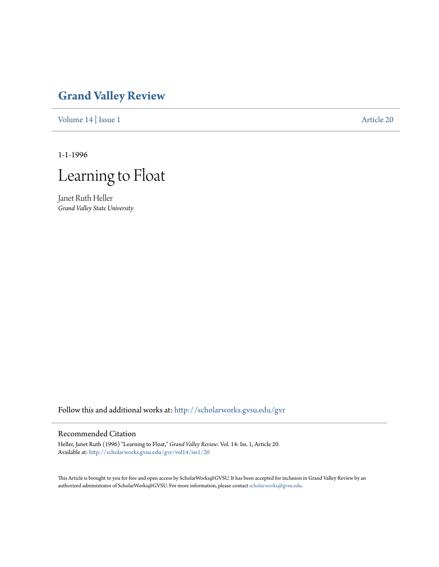## **[Grand Valley Review](http://scholarworks.gvsu.edu/gvr?utm_source=scholarworks.gvsu.edu%2Fgvr%2Fvol14%2Fiss1%2F20&utm_medium=PDF&utm_campaign=PDFCoverPages)**

[Volume 14](http://scholarworks.gvsu.edu/gvr/vol14?utm_source=scholarworks.gvsu.edu%2Fgvr%2Fvol14%2Fiss1%2F20&utm_medium=PDF&utm_campaign=PDFCoverPages) | [Issue 1](http://scholarworks.gvsu.edu/gvr/vol14/iss1?utm_source=scholarworks.gvsu.edu%2Fgvr%2Fvol14%2Fiss1%2F20&utm_medium=PDF&utm_campaign=PDFCoverPages) [Article 20](http://scholarworks.gvsu.edu/gvr/vol14/iss1/20?utm_source=scholarworks.gvsu.edu%2Fgvr%2Fvol14%2Fiss1%2F20&utm_medium=PDF&utm_campaign=PDFCoverPages)

1-1-1996



Janet Ruth Heller *Grand Valley State University*

Follow this and additional works at: [http://scholarworks.gvsu.edu/gvr](http://scholarworks.gvsu.edu/gvr?utm_source=scholarworks.gvsu.edu%2Fgvr%2Fvol14%2Fiss1%2F20&utm_medium=PDF&utm_campaign=PDFCoverPages)

## Recommended Citation

Heller, Janet Ruth (1996) "Learning to Float," *Grand Valley Review*: Vol. 14: Iss. 1, Article 20. Available at: [http://scholarworks.gvsu.edu/gvr/vol14/iss1/20](http://scholarworks.gvsu.edu/gvr/vol14/iss1/20?utm_source=scholarworks.gvsu.edu%2Fgvr%2Fvol14%2Fiss1%2F20&utm_medium=PDF&utm_campaign=PDFCoverPages)

This Article is brought to you for free and open access by ScholarWorks@GVSU. It has been accepted for inclusion in Grand Valley Review by an authorized administrator of ScholarWorks@GVSU. For more information, please contact [scholarworks@gvsu.edu.](mailto:scholarworks@gvsu.edu)